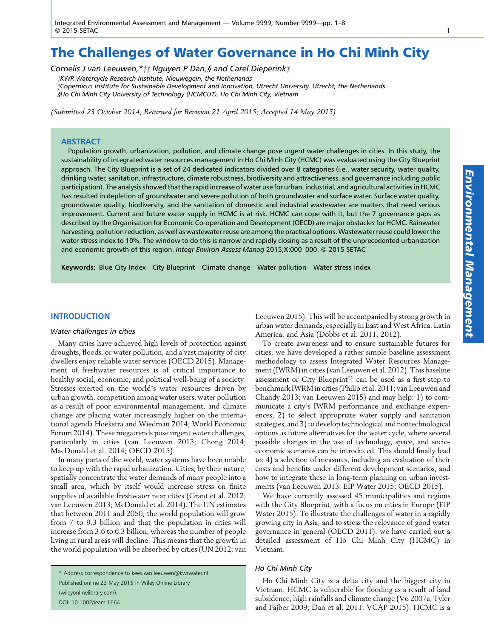The Challenges of Water Chinese in Ho Chi Minh City Chi Minh City Chi Minh City Chi Minh City Chi Minh City Chi<br>Cornelis J van Leeuwen,\*†‡ Nguyen P Dan,§ and Carel Dieperink‡

tKWR Watercycle Research Institute, Nieuwegein, the Netherlands zCopernicus Institute for Sustainable Development and Innovation, Utrecht University, Utrecht, the Netherlands §Ho Chi Minh City University of Technology (HCMCUT), Ho Chi Minh City, Vietnam

(Submitted 23 October 2014; Returned for Revision 21 April 2015; Accepted 14 May 2015)

# **ABSTRACT**

Population growth, urbanization, pollution, and climate change pose urgent water challenges in cities. In this study, the sustainability of integrated water resources management in Ho Chi Minh City (HCMC) was evaluated using the City Blueprint approach. The City Blueprint is a set of 24 dedicated indicators divided over 8 categories (i.e., water security, water quality, drinking water, sanitation, infrastructure, climate robustness, biodiversity and attractiveness, and governance including public participation). The analysis showed that the rapid increase of water use for urban, industrial, and agricultural activities in HCMC has resulted in depletion of groundwater and severe pollution of both groundwater and surface water. Surface water quality, groundwater quality, biodiversity, and the sanitation of domestic and industrial wastewater are matters that need serious improvement. Current and future water supply in HCMC is at risk. HCMC can cope with it, but the 7 governance gaps as described by the Organisation for Economic Co-operation and Development (OECD) are major obstacles for HCMC. Rainwater harvesting, pollution reduction, as well as wastewater reuse are among the practical options.Wastewater reuse could lower the water stress index to 10%. The window to do this is narrow and rapidly closing as a result of the unprecedented urbanization and economic growth of this region. Integr Environ Assess Manag 2015;X:000-000. © 2015 SETAC

Keywords: Blue City Index City Blueprint Climate change Water pollution Water stress index

## INTRODUCTION

## Water challenges in cities

Many cities have achieved high levels of protection against droughts, floods, or water pollution, and a vast majority of city dwellers enjoy reliable water services (OECD 2015). Management of freshwater resources is of critical importance to healthy social, economic, and political well-being of a society. Stresses exerted on the world's water resources driven by urban growth, competition among water users, water pollution as a result of poor environmental management, and climate change are placing water increasingly higher on the international agenda Hoekstra and Wiedman 2014; World Economic Forum 2014). These megatrends pose urgent water challenges, particularly in cities (van Leeuwen 2013; Chong 2014; MacDonald et al. 2014; OECD 2015).

In many parts of the world, water systems have been unable to keep up with the rapid urbanization. Cities, by their nature, spatially concentrate the water demands of many people into a small area, which by itself would increase stress on finite supplies of available freshwater near cities (Grant et al. 2012; van Leeuwen 2013; McDonald et al. 2014). The UN estimates that between 2011 and 2050, the world population will grow from 7 to 9.3 billion and that the population in cities will increase from 3.6 to 6.3 billion, whereas the number of people living in rural areas will decline. This means that the growth in the world population will be absorbed by cities (UN 2012; van

\* Address correspondence to kees.van.leeuwen@kwrwater.nl Published online 23 May 2015 in Wiley Online Library (wileyonlinelibrary.com). DOI: 10.1002/ieam.1664

Leeuwen 2015). This will be accompanied by strong growth in urban water demands, especially in East and West Africa, Latin America, and Asia (Dobbs et al. 2011, 2012).

To create awareness and to ensure sustainable futures for cities, we have developed a rather simple baseline assessment methodology to assess Integrated Water Resources Management (IWRM) in cities (van Leeuwen et al. 2012). This baseline assessment or City Blueprint $^{(8)}$  can be used as a first step to benchmark IWRM in cities (Philip et al. 2011; van Leeuwen and Chandy 2013; van Leeuwen 2015) and may help: 1) to communicate a city's IWRM performance and exchange experiences, 2) to select appropriate water supply and sanitation strategies, and 3) to develop technological and nontechnological options as future alternatives for the water cycle, where several possible changes in the use of technology, space, and socioeconomic scenarios can be introduced. This should finally lead to: 4) a selection of measures, including an evaluation of their costs and benefits under different development scenarios, and how to integrate these in long-term planning on urban investments (van Leeuwen 2013; EIP Water 2015; OECD 2015).

We have currently assessed 45 municipalities and regions with the City Blueprint, with a focus on cities in Europe (EIP Water 2015). To illustrate the challenges of water in a rapidly growing city in Asia, and to stress the relevance of good water governance in general (OECD 2011), we have carried out a detailed assessment of Ho Chi Minh City (HCMC) in Vietnam.

## Ho Chi Minh City

Ho Chi Minh City is a delta city and the biggest city in Vietnam. HCMC is vulnerable for flooding as a result of land subsidence, high rainfalls and climate change (Vo 2007a; Tyler and Fajber 2009; Dan et al. 2011; VCAP 2015). HCMC is a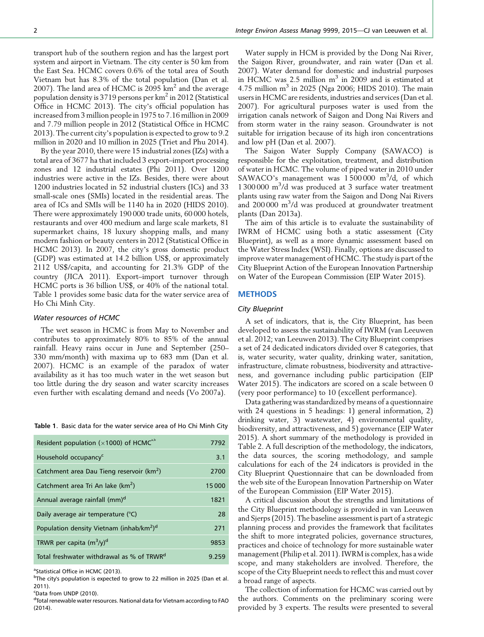transport hub of the southern region and has the largest port system and airport in Vietnam. The city center is 50 km from the East Sea. HCMC covers 0.6% of the total area of South Vietnam but has 8.3% of the total population (Dan et al. 2007). The land area of HCMC is 2095  $km^2$  and the average population density is  $3719$  persons per km<sup>2</sup> in 2012 (Statistical Office in HCMC 2013). The city's official population has increased from 3 million people in 1975 to 7.16 million in 2009 and 7.79 million people in 2012 (Statistical Office in HCMC 2013). The current city's population is expected to grow to 9.2 million in 2020 and 10 million in 2025 (Triet and Phu 2014).

By the year 2010, there were 15 industrial zones (IZs) with a total area of 3677 ha that included 3 export–import processing zones and 12 industrial estates (Phi 2011). Over 1200 industries were active in the IZs. Besides, there were about 1200 industries located in 52 industrial clusters (ICs) and 33 small-scale ones (SMIs) located in the residential areas. The area of ICs and SMIs will be 1140 ha in 2020 (HIDS 2010). There were approximately 190 000 trade units, 60 000 hotels, restaurants and over 400 medium and large scale markets, 81 supermarket chains, 18 luxury shopping malls, and many modern fashion or beauty centers in 2012 (Statistical Office in HCMC 2013). In 2007, the city's gross domestic product (GDP) was estimated at 14.2 billion US\$, or approximately 2112 US\$/capita, and accounting for 21.3% GDP of the country (JICA 2011). Export–import turnover through HCMC ports is 36 billion US\$, or 40% of the national total. Table 1 provides some basic data for the water service area of Ho Chi Minh City.

## Water resources of HCMC

The wet season in HCMC is from May to November and contributes to approximately 80% to 85% of the annual rainfall. Heavy rains occur in June and September (250– 330 mm/month) with maxima up to 683 mm (Dan et al. 2007). HCMC is an example of the paradox of water availability as it has too much water in the wet season but too little during the dry season and water scarcity increases even further with escalating demand and needs (Vo 2007a).

Table 1. Basic data for the water service area of Ho Chi Minh City

| Resident population ( $\times$ 1000) of HCMC <sup>a,b</sup>      | 7792  |
|------------------------------------------------------------------|-------|
| Household occupancy <sup>c</sup>                                 | 3.1   |
| Catchment area Dau Tieng reservoir (km <sup>2</sup> )            | 2700  |
| Catchment area Tri An lake (km <sup>2</sup> )                    | 15000 |
| Annual average rainfall (mm) <sup>d</sup>                        | 1821  |
| Daily average air temperature (°C)                               | 28    |
| Population density Vietnam (inhab/km <sup>2</sup> ) <sup>d</sup> | 271   |
| TRWR per capita $(m^3/y)^d$                                      | 9853  |
| Total freshwater withdrawal as % of TRWR <sup>d</sup>            | 9.259 |

<sup>a</sup>Statistical Office in HCMC (2013).

<sup>b</sup>The city's population is expected to grow to 22 million in 2025 (Dan et al. 2011).

<sup>c</sup>Data from UNDP (2010).

<sup>d</sup>Total renewable water resources. National data for Vietnam according to FAO (2014).

Water supply in HCM is provided by the Dong Nai River, the Saigon River, groundwater, and rain water (Dan et al. 2007). Water demand for domestic and industrial purposes in HCMC was  $2.5$  million  $m<sup>3</sup>$  in 2009 and is estimated at 4.75 million  $m^3$  in 2025 (Nga 2006; HIDS 2010). The main users in HCMC are residents, industries and services (Dan et al. 2007). For agricultural purposes water is used from the irrigation canals network of Saigon and Dong Nai Rivers and from storm water in the rainy season. Groundwater is not suitable for irrigation because of its high iron concentrations and low pH (Dan et al. 2007).

The Saigon Water Supply Company (SAWACO) is responsible for the exploitation, treatment, and distribution of water in HCMC. The volume of piped water in 2010 under SAWACO's management was  $1\overline{500000}$  m<sup>3</sup>/d, of which 1 300 000 m<sup>3</sup>/d was produced at 3 surface water treatment plants using raw water from the Saigon and Dong Nai Rivers and 200 000 m<sup>3</sup>/d was produced at groundwater treatment plants (Dan 2013a).

The aim of this article is to evaluate the sustainability of IWRM of HCMC using both a static assessment (City Blueprint), as well as a more dynamic assessment based on the Water Stress Index (WSI). Finally, options are discussed to improve water management of HCMC. The study is part of the City Blueprint Action of the European Innovation Partnership on Water of the European Commission (EIP Water 2015).

# **METHODS**

## City Blueprint

A set of indicators, that is, the City Blueprint, has been developed to assess the sustainability of IWRM (van Leeuwen et al. 2012; van Leeuwen 2013). The City Blueprint comprises a set of 24 dedicated indicators divided over 8 categories, that is, water security, water quality, drinking water, sanitation, infrastructure, climate robustness, biodiversity and attractiveness, and governance including public participation (EIP Water 2015). The indicators are scored on a scale between 0 (very poor performance) to 10 (excellent performance).

Data gathering was standardized by means of a questionnaire with 24 questions in 5 headings: 1) general information, 2) drinking water, 3) wastewater, 4) environmental quality, biodiversity, and attractiveness, and 5) governance (EIP Water 2015). A short summary of the methodology is provided in Table 2. A full description of the methodology, the indicators, the data sources, the scoring methodology, and sample calculations for each of the 24 indicators is provided in the City Blueprint Questionnaire that can be downloaded from the web site of the European Innovation Partnership on Water of the European Commission (EIP Water 2015).

A critical discussion about the strengths and limitations of the City Blueprint methodology is provided in van Leeuwen and Sjerps (2015). The baseline assessment is part of a strategic planning process and provides the framework that facilitates the shift to more integrated policies, governance structures, practices and choice of technology for more sustainable water management (Philip et al. 2011). IWRM is complex, has a wide scope, and many stakeholders are involved. Therefore, the scope of the City Blueprint needs to reflect this and must cover a broad range of aspects.

The collection of information for HCMC was carried out by the authors. Comments on the preliminary scoring were provided by 3 experts. The results were presented to several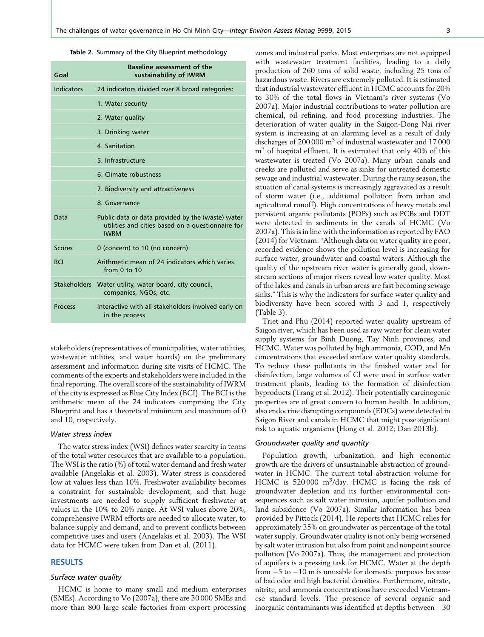#### Table 2. Summary of the City Blueprint methodology

| Goal           | Baseline assessment of the<br>sustainability of IWRM                                                                  |
|----------------|-----------------------------------------------------------------------------------------------------------------------|
| Indicators     | 24 indicators divided over 8 broad categories:                                                                        |
|                | 1. Water security                                                                                                     |
|                | 2. Water quality                                                                                                      |
|                | 3. Drinking water                                                                                                     |
|                | 4. Sanitation                                                                                                         |
|                | 5. Infrastructure                                                                                                     |
|                | 6. Climate robustness                                                                                                 |
|                | 7. Biodiversity and attractiveness                                                                                    |
|                | 8. Governance                                                                                                         |
| Data           | Public data or data provided by the (waste) water<br>utilities and cities based on a questionnaire for<br><b>IWRM</b> |
| Scores         | 0 (concern) to 10 (no concern)                                                                                        |
| <b>BCI</b>     | Arithmetic mean of 24 indicators which varies<br>from $0$ to $10$                                                     |
| Stakeholders   | Water utility, water board, city council,<br>companies, NGOs, etc.                                                    |
| <b>Process</b> | Interactive with all stakeholders involved early on<br>in the process                                                 |

stakeholders (representatives of municipalities, water utilities, wastewater utilities, and water boards) on the preliminary assessment and information during site visits of HCMC. The comments of the experts and stakeholders were included in the final reporting. The overall score of the sustainability of IWRM of the city is expressed as Blue City Index (BCI). The BCI is the arithmetic mean of the 24 indicators comprising the City Blueprint and has a theoretical minimum and maximum of 0 and 10, respectively.

#### Water stress index

The water stress index (WSI) defines water scarcity in terms of the total water resources that are available to a population. The WSI is the ratio (%) of total water demand and fresh water available (Angelakis et al. 2003). Water stress is considered low at values less than 10%. Freshwater availability becomes a constraint for sustainable development, and that huge investments are needed to supply sufficient freshwater at values in the 10% to 20% range. At WSI values above 20%, comprehensive IWRM efforts are needed to allocate water, to balance supply and demand, and to prevent conflicts between competitive uses and users (Angelakis et al. 2003). The WSI data for HCMC were taken from Dan et al. (2011).

# RESULTS

### Surface water quality

HCMC is home to many small and medium enterprises (SMEs). According to Vo (2007a), there are 30 000 SMEs and more than 800 large scale factories from export processing zones and industrial parks. Most enterprises are not equipped with wastewater treatment facilities, leading to a daily production of 260 tons of solid waste, including 25 tons of hazardous waste. Rivers are extremely polluted. It is estimated that industrial wastewater effluent in HCMC accounts for 20% to 30% of the total flows in Vietnam's river systems (Vo 2007a). Major industrial contributions to water pollution are chemical, oil refining, and food processing industries. The deterioration of water quality in the Saigon-Dong Nai river system is increasing at an alarming level as a result of daily discharges of  $200000 \text{ m}^3$  of industrial wastewater and 17000 m<sup>3</sup> of hospital effluent. It is estimated that only 40% of this wastewater is treated (Vo 2007a). Many urban canals and creeks are polluted and serve as sinks for untreated domestic sewage and industrial wastewater. During the rainy season, the situation of canal systems is increasingly aggravated as a result of storm water (i.e., additional pollution from urban and agricultural runoff). High concentrations of heavy metals and persistent organic pollutants (POPs) such as PCBs and DDT were detected in sediments in the canals of HCMC (Vo 2007a). This is in line with the information as reported by FAO (2014) for Vietnam: "Although data on water quality are poor, recorded evidence shows the pollution level is increasing for surface water, groundwater and coastal waters. Although the quality of the upstream river water is generally good, downstream sections of major rivers reveal low water quality. Most of the lakes and canals in urban areas are fast becoming sewage sinks." This is why the indicators for surface water quality and biodiversity have been scored with 3 and 1, respectively (Table 3).

Triet and Phu (2014) reported water quality upstream of Saigon river, which has been used as raw water for clean water supply systems for Binh Duong, Tay Ninh provinces, and HCMC. Water was polluted by high ammonia, COD, and Mn concentrations that exceeded surface water quality standards. To reduce these pollutants in the finished water and for disinfection, large volumes of Cl were used in surface water treatment plants, leading to the formation of disinfection byproducts (Trang et al. 2012). Their potentially carcinogenic properties are of great concern to human health. In addition, also endocrine disrupting compounds (EDCs) were detected in Saigon River and canals in HCMC that might pose significant risk to aquatic organisms (Hong et al. 2012; Dan 2013b).

## Groundwater quality and quantity

Population growth, urbanization, and high economic growth are the drivers of unsustainable abstraction of groundwater in HCMC. The current total abstraction volume for HCMC is 520000 m<sup>3</sup>/day. HCMC is facing the risk of groundwater depletion and its further environmental consequences such as salt water intrusion, aquifer pollution and land subsidence (Vo 2007a). Similar information has been provided by Pittock (2014). He reports that HCMC relies for approximately 35% on groundwater as percentage of the total water supply. Groundwater quality is not only being worsened by salt water intrusion but also from point and nonpoint source pollution (Vo 2007a). Thus, the management and protection of aquifers is a pressing task for HCMC. Water at the depth from  $-5$  to  $-10$  m is unusable for domestic purposes because of bad odor and high bacterial densities. Furthermore, nitrate, nitrite, and ammonia concentrations have exceeded Vietnamese standard levels. The presence of several organic and inorganic contaminants was identified at depths between  $-30$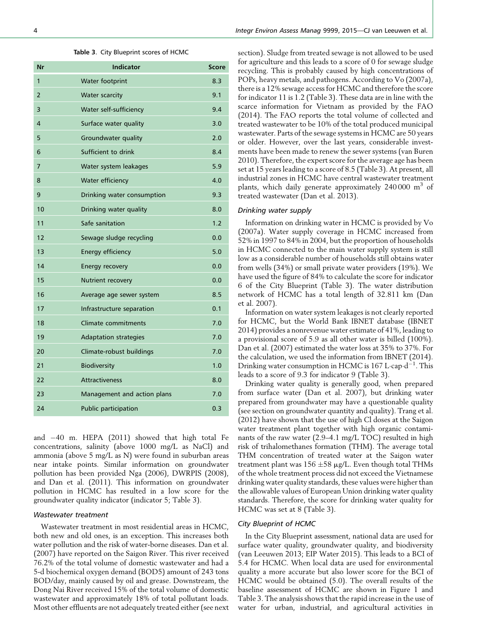| Nr             | <b>Indicator</b>             | <b>Score</b> |
|----------------|------------------------------|--------------|
| 1              | Water footprint              | 8.3          |
| $\overline{2}$ | Water scarcity               | 9.1          |
| 3              | Water self-sufficiency       | 9.4          |
| 4              | Surface water quality        | 3.0          |
| 5              | Groundwater quality          | 2.0          |
| 6              | Sufficient to drink          | 8.4          |
| 7              | Water system leakages        | 5.9          |
| 8              | Water efficiency             | 4.0          |
| 9              | Drinking water consumption   | 9.3          |
| 10             | Drinking water quality       | 8.0          |
| 11             | Safe sanitation              | 1.2          |
| 12             | Sewage sludge recycling      | 0.0          |
| 13             | Energy efficiency            | 5.0          |
| 14             | Energy recovery              | 0.0          |
| 15             | Nutrient recovery            | 0.0          |
| 16             | Average age sewer system     | 8.5          |
| 17             | Infrastructure separation    | 0.1          |
| 18             | Climate commitments          | 7.0          |
| 19             | <b>Adaptation strategies</b> | 7.0          |
| 20             | Climate-robust buildings     | 7.0          |
| 21             | <b>Biodiversity</b>          | 1.0          |
| 22             | <b>Attractiveness</b>        | 8.0          |
| 23             | Management and action plans  | 7.0          |
| 24             | Public participation         | 0.3          |

and  $-40$  m. HEPA (2011) showed that high total Fe concentrations, salinity (above 1000 mg/L as NaCl) and ammonia (above 5 mg/L as N) were found in suburban areas near intake points. Similar information on groundwater pollution has been provided Nga (2006), DWRPIS (2008), and Dan et al. (2011). This information on groundwater pollution in HCMC has resulted in a low score for the groundwater quality indicator (indicator 5; Table 3).

# Wastewater treatment

Wastewater treatment in most residential areas in HCMC, both new and old ones, is an exception. This increases both water pollution and the risk of water-borne diseases. Dan et al. (2007) have reported on the Saigon River. This river received 76.2% of the total volume of domestic wastewater and had a 5-d biochemical oxygen demand (BOD5) amount of 243 tons BOD/day, mainly caused by oil and grease. Downstream, the Dong Nai River received 15% of the total volume of domestic wastewater and approximately 18% of total pollutant loads. Most other effluents are not adequately treated either (see next section). Sludge from treated sewage is not allowed to be used for agriculture and this leads to a score of 0 for sewage sludge recycling. This is probably caused by high concentrations of POPs, heavy metals, and pathogens. According to Vo (2007a), there is a 12% sewage access for HCMC and therefore the score for indicator 11 is 1.2 (Table 3). These data are in line with the scarce information for Vietnam as provided by the FAO (2014). The FAO reports the total volume of collected and treated wastewater to be 10% of the total produced municipal wastewater. Parts of the sewage systems in HCMC are 50 years or older. However, over the last years, considerable investments have been made to renew the sewer systems (van Buren 2010). Therefore, the expert score for the average age has been set at 15 years leading to a score of 8.5 (Table 3). At present, all industrial zones in HCMC have central wastewater treatment plants, which daily generate approximately  $240000 \text{ m}^3$  of treated wastewater (Dan et al. 2013).

# Drinking water supply

Information on drinking water in HCMC is provided by Vo (2007a). Water supply coverage in HCMC increased from 52% in 1997 to 84% in 2004, but the proportion of households in HCMC connected to the main water supply system is still low as a considerable number of households still obtains water from wells (34%) or small private water providers (19%). We have used the figure of 84% to calculate the score for indicator 6 of the City Blueprint (Table 3). The water distribution network of HCMC has a total length of 32.811 km (Dan et al. 2007).

Information on water system leakages is not clearly reported for HCMC, but the World Bank IBNET database (IBNET 2014) provides a nonrevenue water estimate of 41%, leading to a provisional score of 5.9 as all other water is billed (100%). Dan et al. (2007) estimated the water loss at 35% to 37%. For the calculation, we used the information from IBNET (2014). Drinking water consumption in HCMC is  $167$  L cap  $d^{-1}$ . This leads to a score of 9.3 for indicator 9 (Table 3).

Drinking water quality is generally good, when prepared from surface water (Dan et al. 2007), but drinking water prepared from groundwater may have a questionable quality (see section on groundwater quantity and quality). Trang et al. (2012) have shown that the use of high Cl doses at the Saigon water treatment plant together with high organic contaminants of the raw water (2.9–4.1 mg/L TOC) resulted in high risk of trihalomethanes formation (THM). The average total THM concentration of treated water at the Saigon water treatment plant was 156  $\pm$ 58 µg/L. Even though total THMs of the whole treatment process did not exceed the Vietnamese drinking water quality standards, these values were higher than the allowable values of European Union drinking water quality standards. Therefore, the score for drinking water quality for HCMC was set at 8 (Table 3).

## City Blueprint of HCMC

In the City Blueprint assessment, national data are used for surface water quality, groundwater quality, and biodiversity (van Leeuwen 2013; EIP Water 2015). This leads to a BCI of 5.4 for HCMC. When local data are used for environmental quality a more accurate but also lower score for the BCI of HCMC would be obtained (5.0). The overall results of the baseline assessment of HCMC are shown in Figure 1 and Table 3. The analysis shows that the rapid increase in the use of water for urban, industrial, and agricultural activities in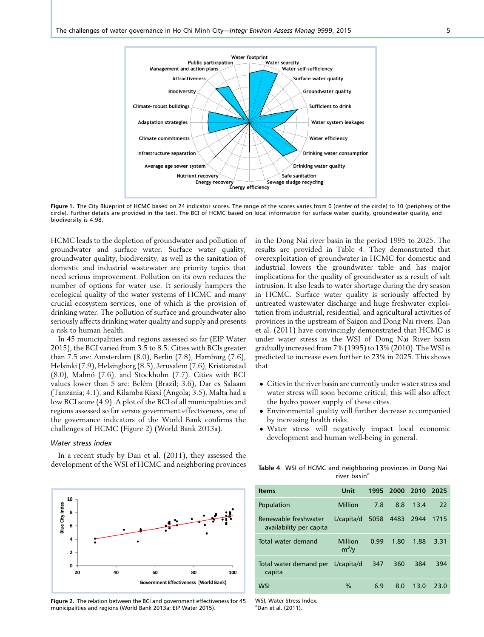

Figure 1. The City Blueprint of HCMC based on 24 indicator scores. The range of the scores varies from 0 (center of the circle) to 10 (periphery of the circle). Further details are provided in the text. The BCI of HCMC based on local information for surface water quality, groundwater quality, and biodiversity is 4.98.

HCMC leads to the depletion of groundwater and pollution of groundwater and surface water. Surface water quality, groundwater quality, biodiversity, as well as the sanitation of domestic and industrial wastewater are priority topics that need serious improvement. Pollution on its own reduces the number of options for water use. It seriously hampers the ecological quality of the water systems of HCMC and many crucial ecosystem services, one of which is the provision of drinking water. The pollution of surface and groundwater also seriously affects drinking water quality and supply and presents a risk to human health.

In 45 municipalities and regions assessed so far (EIP Water 2015), the BCI varied from 3.5 to 8.5. Cities with BCIs greater than 7.5 are: Amsterdam (8.0), Berlin (7.8), Hamburg (7.6), Helsinki (7.9), Helsingborg (8.5), Jerusalem (7.6), Kristianstad  $(8.0)$ , Malmö  $(7.6)$ , and Stockholm  $(7.7)$ . Cities with BCI values lower than 5 are: Belém (Brazil; 3.6), Dar es Salaam (Tanzania; 4.1), and Kilamba Kiaxi (Angola; 3.5). Malta had a low BCI score (4.9). A plot of the BCI of all municipalities and regions assessed so far versus government effectiveness, one of the governance indicators of the World Bank confirms the challenges of HCMC (Figure 2) (World Bank 2013a).

#### Water stress index

In a recent study by Dan et al. (2011), they assessed the development of the WSI of HCMC and neighboring provinces



Figure 2. The relation between the BCI and government effectiveness for 45 municipalities and regions (World Bank 2013a; EIP Water 2015).

in the Dong Nai river basin in the period 1995 to 2025. The results are provided in Table 4. They demonstrated that overexploitation of groundwater in HCMC for domestic and industrial lowers the groundwater table and has major implications for the quality of groundwater as a result of salt intrusion. It also leads to water shortage during the dry season in HCMC. Surface water quality is seriously affected by untreated wastewater discharge and huge freshwater exploitation from industrial, residential, and agricultural activities of provinces in the upstream of Saigon and Dong Nai rivers. Dan et al. (2011) have convincingly demonstrated that HCMC is under water stress as the WSI of Dong Nai River basin gradually increased from 7% (1995) to 13% (2010). The WSI is predicted to increase even further to 23% in 2025. This shows that

- Cities in the river basin are currently under water stress and water stress will soon become critical; this will also affect the hydro power supply of these cities.
- Environmental quality will further decrease accompanied by increasing health risks.
- Water stress will negatively impact local economic development and human well-being in general.

Table 4. WSI of HCMC and neighboring provinces in Dong Nai river basin<sup>a</sup>

| <b>Items</b>                                    | Unit               | 1995 | 2000 2010 |      | 2025 |
|-------------------------------------------------|--------------------|------|-----------|------|------|
| Population                                      | Million            | 7.8  | 8.8       | 13.4 | 22   |
| Renewable freshwater<br>availability per capita | $L/c$ apita/d 5058 |      | 4483      | 2944 | 1715 |
| Total water demand                              | Million<br>$m^3/y$ | 0.99 | 1.80      | 1.88 | 3.31 |
| Total water demand per L/capita/d<br>capita     |                    | 347  | 360       | 384  | 394  |
| <b>WSI</b>                                      | $\%$               | 6.9  | 8.0       | 13.0 | 23.0 |

WSI, Water Stress Index. <sup>a</sup>Dan et al. (2011).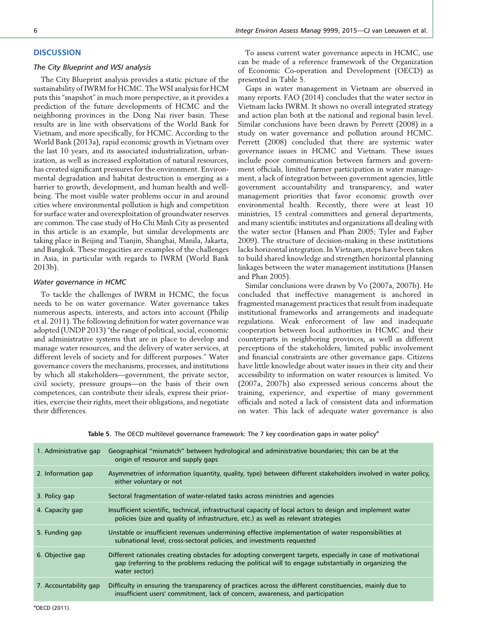## **DISCUSSION**

#### The City Blueprint and WSI analysis

The City Blueprint analysis provides a static picture of the sustainability of IWRM for HCMC. The WSI analysis for HCM puts this "snapshot" in much more perspective, as it provides a prediction of the future developments of HCMC and the neighboring provinces in the Dong Nai river basin. These results are in line with observations of the World Bank for Vietnam, and more specifically, for HCMC. According to the World Bank (2013a), rapid economic growth in Vietnam over the last 10 years, and its associated industrialization, urbanization, as well as increased exploitation of natural resources, has created significant pressures for the environment. Environmental degradation and habitat destruction is emerging as a barrier to growth, development, and human health and wellbeing. The most visible water problems occur in and around cities where environmental pollution is high and competition for surface water and overexploitation of groundwater reserves are common. The case study of Ho Chi Minh City as presented in this article is an example, but similar developments are taking place in Beijing and Tianjin, Shanghai, Manila, Jakarta, and Bangkok. These megacities are examples of the challenges in Asia, in particular with regards to IWRM (World Bank 2013b).

## Water governance in HCMC

To tackle the challenges of IWRM in HCMC, the focus needs to be on water governance. Water governance takes numerous aspects, interests, and actors into account (Philip et al. 2011). The following definition for water governance was adopted (UNDP 2013) "the range of political, social, economic and administrative systems that are in place to develop and manage water resources, and the delivery of water services, at different levels of society and for different purposes." Water governance covers the mechanisms, processes, and institutions by which all stakeholders—government, the private sector, civil society, pressure groups—on the basis of their own competences, can contribute their ideals, express their priorities, exercise their rights, meet their obligations, and negotiate their differences.

To assess current water governance aspects in HCMC, use can be made of a reference framework of the Organization of Economic Co-operation and Development (OECD) as presented in Table 5.

Gaps in water management in Vietnam are observed in many reports. FAO (2014) concludes that the water sector in Vietnam lacks IWRM. It shows no overall integrated strategy and action plan both at the national and regional basin level. Similar conclusions have been drawn by Perrett (2008) in a study on water governance and pollution around HCMC. Perrett (2008) concluded that there are systemic water governance issues in HCMC and Vietnam. These issues include poor communication between farmers and government officials, limited farmer participation in water management, a lack of integration between government agencies, little government accountability and transparency, and water management priorities that favor economic growth over environmental health. Recently, there were at least 10 ministries, 15 central committees and general departments, and many scientific institutes and organizations all dealing with the water sector (Hansen and Phan 2005; Tyler and Fajber 2009). The structure of decision-making in these institutions lacks horizontal integration. In Vietnam, steps have been taken to build shared knowledge and strengthen horizontal planning linkages between the water management institutions (Hansen and Phan 2005).

Similar conclusions were drawn by Vo (2007a, 2007b). He concluded that ineffective management is anchored in fragmented management practices that result from inadequate institutional frameworks and arrangements and inadequate regulations. Weak enforcement of law and inadequate cooperation between local authorities in HCMC and their counterparts in neighboring provinces, as well as different perceptions of the stakeholders, limited public involvement and financial constraints are other governance gaps. Citizens have little knowledge about water issues in their city and their accessibility to information on water resources is limited. Vo (2007a, 2007b) also expressed serious concerns about the training, experience, and expertise of many government officials and noted a lack of consistent data and information on water. This lack of adequate water governance is also

| 1. Administrative gap | Geographical "mismatch" between hydrological and administrative boundaries; this can be at the<br>origin of resource and supply gaps                                                                                                 |
|-----------------------|--------------------------------------------------------------------------------------------------------------------------------------------------------------------------------------------------------------------------------------|
| 2. Information gap    | Asymmetries of information (quantity, quality, type) between different stakeholders involved in water policy,<br>either voluntary or not                                                                                             |
| 3. Policy gap         | Sectoral fragmentation of water-related tasks across ministries and agencies                                                                                                                                                         |
| 4. Capacity gap       | Insufficient scientific, technical, infrastructural capacity of local actors to design and implement water<br>policies (size and quality of infrastructure, etc.) as well as relevant strategies                                     |
| 5. Funding gap        | Unstable or insufficient revenues undermining effective implementation of water responsibilities at<br>subnational level, cross-sectoral policies, and investments requested                                                         |
| 6. Objective gap      | Different rationales creating obstacles for adopting convergent targets, especially in case of motivational<br>gap (referring to the problems reducing the political will to engage substantially in organizing the<br>water sector) |
| 7. Accountability gap | Difficulty in ensuring the transparency of practices across the different constituencies, mainly due to<br>insufficient users' commitment, lack of concern, awareness, and participation                                             |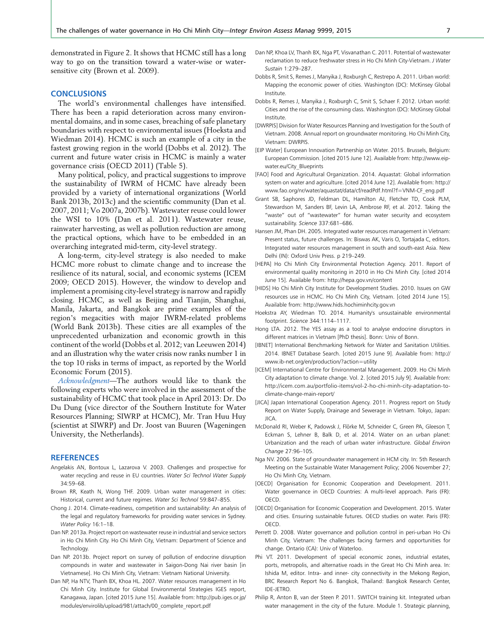demonstrated in Figure 2. It shows that HCMC still has a long way to go on the transition toward a water-wise or watersensitive city (Brown et al. 2009).

# **CONCLUSIONS**

The world's environmental challenges have intensified. There has been a rapid deterioration across many environmental domains, and in some cases, breaching of safe planetary boundaries with respect to environmental issues (Hoeksta and Wiedman 2014). HCMC is such an example of a city in the fastest growing region in the world (Dobbs et al. 2012). The current and future water crisis in HCMC is mainly a water governance crisis (OECD 2011) (Table 5).

Many political, policy, and practical suggestions to improve the sustainability of IWRM of HCMC have already been provided by a variety of international organizations (World Bank 2013b, 2013c) and the scientific community (Dan et al. 2007, 2011; Vo 2007a, 2007b). Wastewater reuse could lower the WSI to 10% (Dan et al. 2011). Wastewater reuse, rainwater harvesting, as well as pollution reduction are among the practical options, which have to be embedded in an overarching integrated mid-term, city-level strategy.

A long-term, city-level strategy is also needed to make HCMC more robust to climate change and to increase the resilience of its natural, social, and economic systems (ICEM 2009; OECD 2015). However, the window to develop and implement a promising city-level strategy is narrow and rapidly closing. HCMC, as well as Beijing and Tianjin, Shanghai, Manila, Jakarta, and Bangkok are prime examples of the region's megacities with major IWRM-related problems (World Bank 2013b). These cities are all examples of the unprecedented urbanization and economic growth in this continent of the world (Dobbs et al. 2012; van Leeuwen 2014) and an illustration why the water crisis now ranks number 1 in the top 10 risks in terms of impact, as reported by the World Economic Forum (2015).

Acknowledgment-The authors would like to thank the following experts who were involved in the assessment of the sustainability of HCMC that took place in April 2013: Dr. Do Du Dung (vice director of the Southern Institute for Water Resources Planning; SIWRP at HCMC), Mr. Tran Huu Huy (scientist at SIWRP) and Dr. Joost van Buuren (Wageningen University, the Netherlands).

#### REFERENCES

- Angelakis AN, Bontoux L, Lazarova V. 2003. Challenges and prospective for water recycling and reuse in EU countries. Water Sci Technol Water Supply 34:59–68.
- Brown RR, Keath N, Wong THF. 2009. Urban water management in cities: Historical, current and future regimes. Water Sci Technol 59:847–855.
- Chong J. 2014. Climate-readiness, competition and sustainability: An analysis of the legal and regulatory frameworks for providing water services in Sydney. Water Policy 16:1–18.
- Dan NP. 2013a. Project report on wastewater reuse in industrial and service sectors in Ho Chi Minh City. Ho Chi Minh City, Vietnam: Department of Science and Technology.
- Dan NP. 2013b. Project report on survey of pollution of endocrine disruption compounds in water and wastewater in Saigon-Dong Nai river basin [in Vietnamese]. Ho Chi Minh City, Vietnam: Vietnam National University.
- Dan NP, Ha NTV, Thanh BX, Khoa HL. 2007. Water resources management in Ho Chi Minh City. Institute for Global Environmental Strategies IGES report, Kanagawa, Japan. [cited 2015 June 15]. Available from: [http://pub.iges.or.jp/](http://pub.iges.or.jp/modules/envirolib/upload/981/attach/00_complete_report.pdf) [modules/envirolib/upload/981/attach/00\\_complete\\_report.pdf](http://pub.iges.or.jp/modules/envirolib/upload/981/attach/00_complete_report.pdf)
- Dan NP, Khoa LV, Thanh BX, Nga PT, Visvanathan C. 2011. Potential of wastewater reclamation to reduce freshwater stress in Ho Chi Minh City-Vietnam. J Water Sustain 1:279–287.
- Dobbs R, Smit S, Remes J, Manyika J, Roxburgh C, Restrepo A. 2011. Urban world: Mapping the economic power of cities. Washington (DC): McKinsey Global Institute.
- Dobbs R, Remes J, Manyika J, Roxburgh C, Smit S, Schaer F. 2012. Urban world: Cities and the rise of the consuming class. Washington (DC): McKinsey Global Institute.
- [DWRPIS] Division for Water Resources Planning and Investigation for the South of Vietnam. 2008. Annual report on groundwater monitoring. Ho Chi Minh City, Vietnam: DWRPIS.
- [EIP Water] European Innovation Partnership on Water. 2015. Brussels, Belgium: European Commission. [cited 2015 June 12]. Available from: [http://www.eip](http://www.eip-water.eu/City_Blueprints)[water.eu/City\\_Blueprints](http://www.eip-water.eu/City_Blueprints)
- [FAO] Food and Agricultural Organization. 2014. Aquastat: Global information system on water and agriculture. [cited 2014 June 12]. Available from: [http://](http://www.fao.org/nr/water/aquastat/data/cf/readPdf.html?f=VNM-CF_eng.pdf) [www.fao.org/nr/water/aquastat/data/cf/readPdf.html?f=VNM-CF\\_eng.pdf](http://www.fao.org/nr/water/aquastat/data/cf/readPdf.html?f=VNM-CF_eng.pdf)
- Grant SB, Saphores JD, Feldman DL, Hamilton AJ, Fletcher TD, Cook PLM, Stewardson M, Sanders BF, Levin LA, Ambrose RF, et al. 2012. Taking the "waste" out of "wastewater" for human water security and ecosystem sustainability. Science 337:681–686.
- Hansen JM, Phan DH. 2005. Integrated water resources management in Vietnam: Present status, future challenges. In: Biswas AK, Varis O, Tortajada C, editors. Integrated water resources management in south and south-east Asia. New Delhi (IN): Oxford Univ Press. p 219–249.
- [HEPA] Ho Chi Minh City Environmental Protection Agency. 2011. Report of environmental quality monitoring in 2010 in Ho Chi Minh City. [cited 2014 June 15]. Available from:<http://hepa.gov.vn/content>
- [HIDS] Ho Chi Minh City Institute for Development Studies. 2010. Issues on GW resources use in HCMC. Ho Chi Minh City, Vietnam. [cited 2014 June 15]. Available from:<http://www.hids.hochiminhcity.gov.vn>
- Hoekstra AY, Wiedman TO. 2014. Humanity's unsustainable environmental footprint. Science 344:1114–1117.
- Hong LTA. 2012. The YES assay as a tool to analyse endocrine disruptors in different matrices in Vietnam [PhD thesis]. Bonn: Univ of Bonn.
- [IBNET] International Benchmarking Network for Water and Sanitation Utilities. 2014. IBNET Database Search. [cited 2015 June 9]. Available from: [http://](http://www.ib-net.org/en/production/?action=utility) [www.ib-net.org/en/production/?action=utility](http://www.ib-net.org/en/production/?action=utility)
- [ICEM] International Centre for Environmental Management. 2009. Ho Chi Minh City adaptation to climate change. Vol. 2. [cited 2015 July 9]. Available from: [http://icem.com.au/portfolio-items/vol-2-ho-chi-minh-city-adaptation-to](http://icem.com.au/portfolio-items/vol-2-ho-chi-minh-city-adaptation-to-climate-change-main-report/)[climate-change-main-report/](http://icem.com.au/portfolio-items/vol-2-ho-chi-minh-city-adaptation-to-climate-change-main-report/)
- [JICA] Japan International Cooperation Agency. 2011. Progress report on Study Report on Water Supply, Drainage and Sewerage in Vietnam. Tokyo, Japan: JICA.
- McDonald RI, Weber K, Padowsk J, Flörke M, Schneider C, Green PA, Gleeson T, Eckman S, Lehner B, Balk D, et al. 2014. Water on an urban planet: Urbanization and the reach of urban water infrastructure. Global Environ Change 27:96–105.
- Nga NV. 2006. State of groundwater management in HCM city. In: 5th Research Meeting on the Sustainable Water Management Policy; 2006 November 27; Ho Chi Minh City, Vietnam.
- [OECD] Organisation for Economic Cooperation and Development. 2011. Water governance in OECD Countries: A multi-level approach. Paris (FR): OECD.
- [OECD] Organisation for Economic Cooperation and Development. 2015. Water and cities. Ensuring sustainable futures. OECD studies on water. Paris (FR): OECD.
- Perrett D. 2008. Water governance and pollution control in peri-urban Ho Chi Minh City, Vietnam: The challenges facing farmers and opportunities for change. Ontario (CA): Univ of Waterloo.
- Phi VT. 2011. Development of special economic zones, industrial estates, ports, metropolis, and alternative roads in the Great Ho Chi Minh area. In: Ishida M, editor. Intra- and inner- city connectivity in the Mekong Region, BRC Research Report No 6. Bangkok, Thailand: Bangkok Research Center, IDE-JETRO.
- Philip R, Anton B, van der Steen P. 2011. SWITCH training kit. Integrated urban water management in the city of the future. Module 1. Strategic planning,